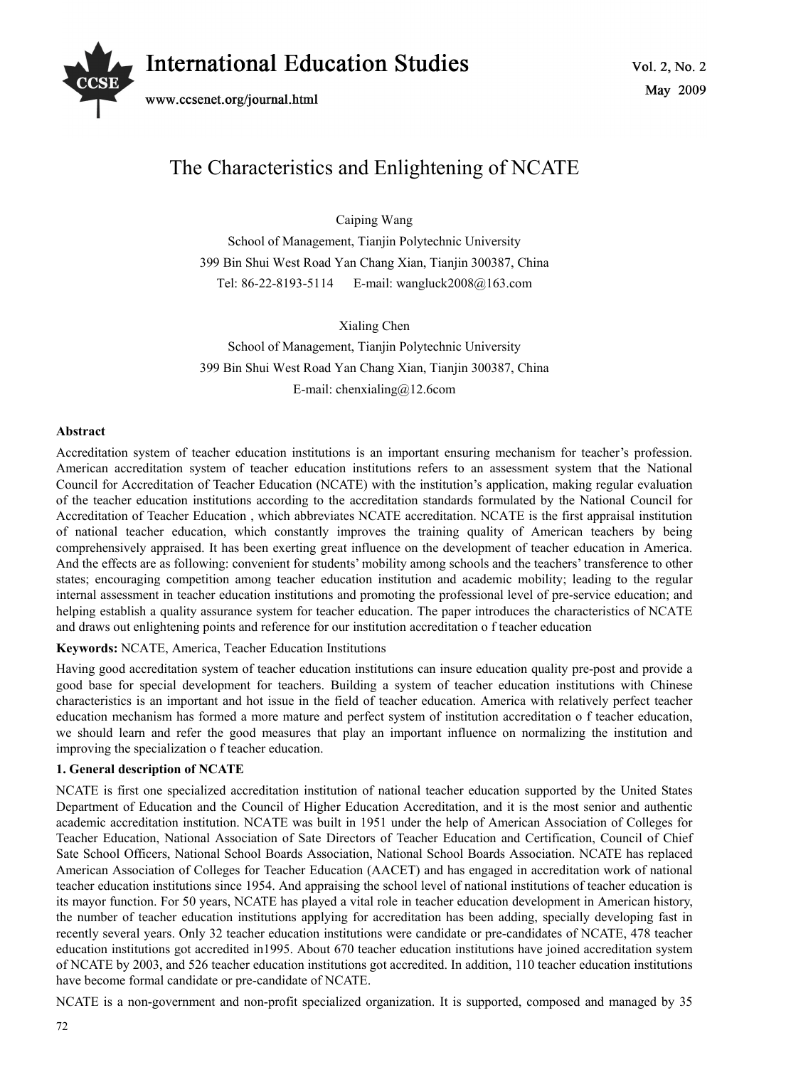

# The Characteristics and Enlightening of NCATE

Caiping Wang

School of Management, Tianjin Polytechnic University 399 Bin Shui West Road Yan Chang Xian, Tianjin 300387, China Tel: 86-22-8193-5114 E-mail: wangluck2008@163.com

Xialing Chen School of Management, Tianjin Polytechnic University 399 Bin Shui West Road Yan Chang Xian, Tianjin 300387, China E-mail: chenxialing@12.6com

# **Abstract**

Accreditation system of teacher education institutions is an important ensuring mechanism for teacher's profession. American accreditation system of teacher education institutions refers to an assessment system that the National Council for Accreditation of Teacher Education (NCATE) with the institution's application, making regular evaluation of the teacher education institutions according to the accreditation standards formulated by the National Council for Accreditation of Teacher Education , which abbreviates NCATE accreditation. NCATE is the first appraisal institution of national teacher education, which constantly improves the training quality of American teachers by being comprehensively appraised. It has been exerting great influence on the development of teacher education in America. And the effects are as following: convenient for students' mobility among schools and the teachers' transference to other states; encouraging competition among teacher education institution and academic mobility; leading to the regular internal assessment in teacher education institutions and promoting the professional level of pre-service education; and helping establish a quality assurance system for teacher education. The paper introduces the characteristics of NCATE and draws out enlightening points and reference for our institution accreditation o f teacher education

**Keywords:** NCATE, America, Teacher Education Institutions

Having good accreditation system of teacher education institutions can insure education quality pre-post and provide a good base for special development for teachers. Building a system of teacher education institutions with Chinese characteristics is an important and hot issue in the field of teacher education. America with relatively perfect teacher education mechanism has formed a more mature and perfect system of institution accreditation o f teacher education, we should learn and refer the good measures that play an important influence on normalizing the institution and improving the specialization o f teacher education.

# **1. General description of NCATE**

NCATE is first one specialized accreditation institution of national teacher education supported by the United States Department of Education and the Council of Higher Education Accreditation, and it is the most senior and authentic academic accreditation institution. NCATE was built in 1951 under the help of American Association of Colleges for Teacher Education, National Association of Sate Directors of Teacher Education and Certification, Council of Chief Sate School Officers, National School Boards Association, National School Boards Association. NCATE has replaced American Association of Colleges for Teacher Education (AACET) and has engaged in accreditation work of national teacher education institutions since 1954. And appraising the school level of national institutions of teacher education is its mayor function. For 50 years, NCATE has played a vital role in teacher education development in American history, the number of teacher education institutions applying for accreditation has been adding, specially developing fast in recently several years. Only 32 teacher education institutions were candidate or pre-candidates of NCATE, 478 teacher education institutions got accredited in1995. About 670 teacher education institutions have joined accreditation system of NCATE by 2003, and 526 teacher education institutions got accredited. In addition, 110 teacher education institutions have become formal candidate or pre-candidate of NCATE.

NCATE is a non-government and non-profit specialized organization. It is supported, composed and managed by 35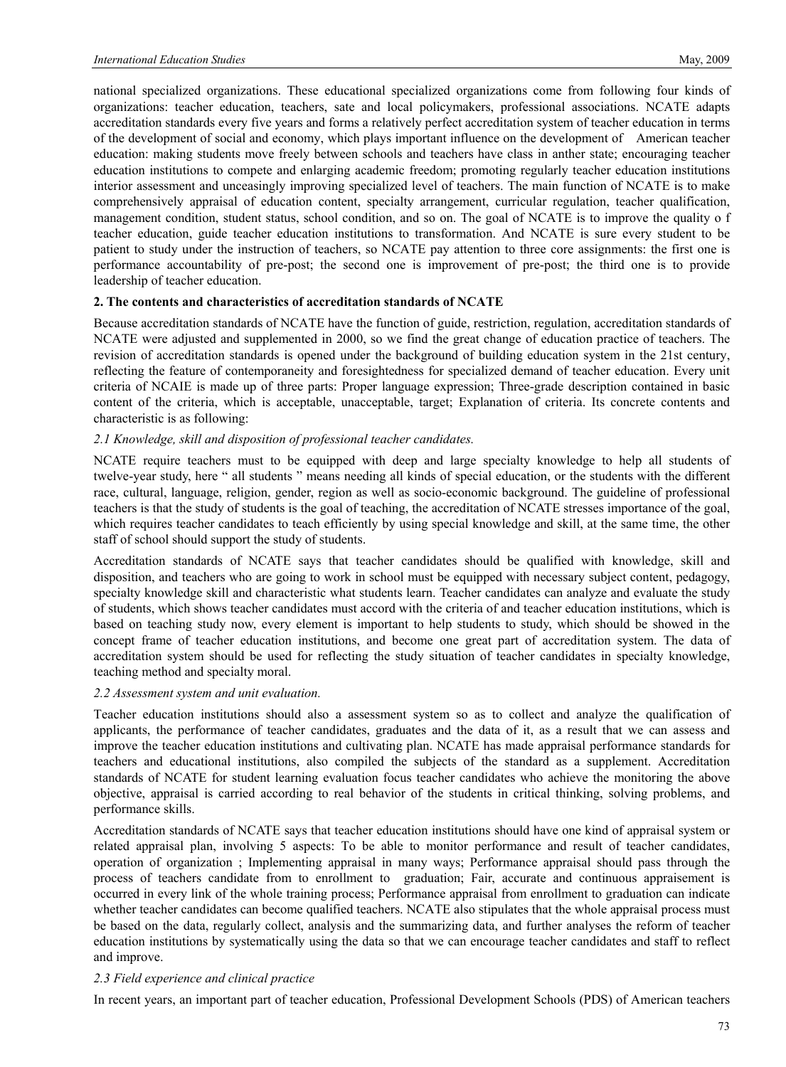national specialized organizations. These educational specialized organizations come from following four kinds of organizations: teacher education, teachers, sate and local policymakers, professional associations. NCATE adapts accreditation standards every five years and forms a relatively perfect accreditation system of teacher education in terms of the development of social and economy, which plays important influence on the development of American teacher education: making students move freely between schools and teachers have class in anther state; encouraging teacher education institutions to compete and enlarging academic freedom; promoting regularly teacher education institutions interior assessment and unceasingly improving specialized level of teachers. The main function of NCATE is to make comprehensively appraisal of education content, specialty arrangement, curricular regulation, teacher qualification, management condition, student status, school condition, and so on. The goal of NCATE is to improve the quality o f teacher education, guide teacher education institutions to transformation. And NCATE is sure every student to be patient to study under the instruction of teachers, so NCATE pay attention to three core assignments: the first one is performance accountability of pre-post; the second one is improvement of pre-post; the third one is to provide leadership of teacher education.

# **2. The contents and characteristics of accreditation standards of NCATE**

Because accreditation standards of NCATE have the function of guide, restriction, regulation, accreditation standards of NCATE were adjusted and supplemented in 2000, so we find the great change of education practice of teachers. The revision of accreditation standards is opened under the background of building education system in the 21st century, reflecting the feature of contemporaneity and foresightedness for specialized demand of teacher education. Every unit criteria of NCAIE is made up of three parts: Proper language expression; Three-grade description contained in basic content of the criteria, which is acceptable, unacceptable, target; Explanation of criteria. Its concrete contents and characteristic is as following:

#### *2.1 Knowledge, skill and disposition of professional teacher candidates.*

NCATE require teachers must to be equipped with deep and large specialty knowledge to help all students of twelve-year study, here " all students " means needing all kinds of special education, or the students with the different race, cultural, language, religion, gender, region as well as socio-economic background. The guideline of professional teachers is that the study of students is the goal of teaching, the accreditation of NCATE stresses importance of the goal, which requires teacher candidates to teach efficiently by using special knowledge and skill, at the same time, the other staff of school should support the study of students.

Accreditation standards of NCATE says that teacher candidates should be qualified with knowledge, skill and disposition, and teachers who are going to work in school must be equipped with necessary subject content, pedagogy, specialty knowledge skill and characteristic what students learn. Teacher candidates can analyze and evaluate the study of students, which shows teacher candidates must accord with the criteria of and teacher education institutions, which is based on teaching study now, every element is important to help students to study, which should be showed in the concept frame of teacher education institutions, and become one great part of accreditation system. The data of accreditation system should be used for reflecting the study situation of teacher candidates in specialty knowledge, teaching method and specialty moral.

#### *2.2 Assessment system and unit evaluation.*

Teacher education institutions should also a assessment system so as to collect and analyze the qualification of applicants, the performance of teacher candidates, graduates and the data of it, as a result that we can assess and improve the teacher education institutions and cultivating plan. NCATE has made appraisal performance standards for teachers and educational institutions, also compiled the subjects of the standard as a supplement. Accreditation standards of NCATE for student learning evaluation focus teacher candidates who achieve the monitoring the above objective, appraisal is carried according to real behavior of the students in critical thinking, solving problems, and performance skills.

Accreditation standards of NCATE says that teacher education institutions should have one kind of appraisal system or related appraisal plan, involving 5 aspects: To be able to monitor performance and result of teacher candidates, operation of organization ; Implementing appraisal in many ways; Performance appraisal should pass through the process of teachers candidate from to enrollment to graduation; Fair, accurate and continuous appraisement is occurred in every link of the whole training process; Performance appraisal from enrollment to graduation can indicate whether teacher candidates can become qualified teachers. NCATE also stipulates that the whole appraisal process must be based on the data, regularly collect, analysis and the summarizing data, and further analyses the reform of teacher education institutions by systematically using the data so that we can encourage teacher candidates and staff to reflect and improve.

#### *2.3 Field experience and clinical practice*

In recent years, an important part of teacher education, Professional Development Schools (PDS) of American teachers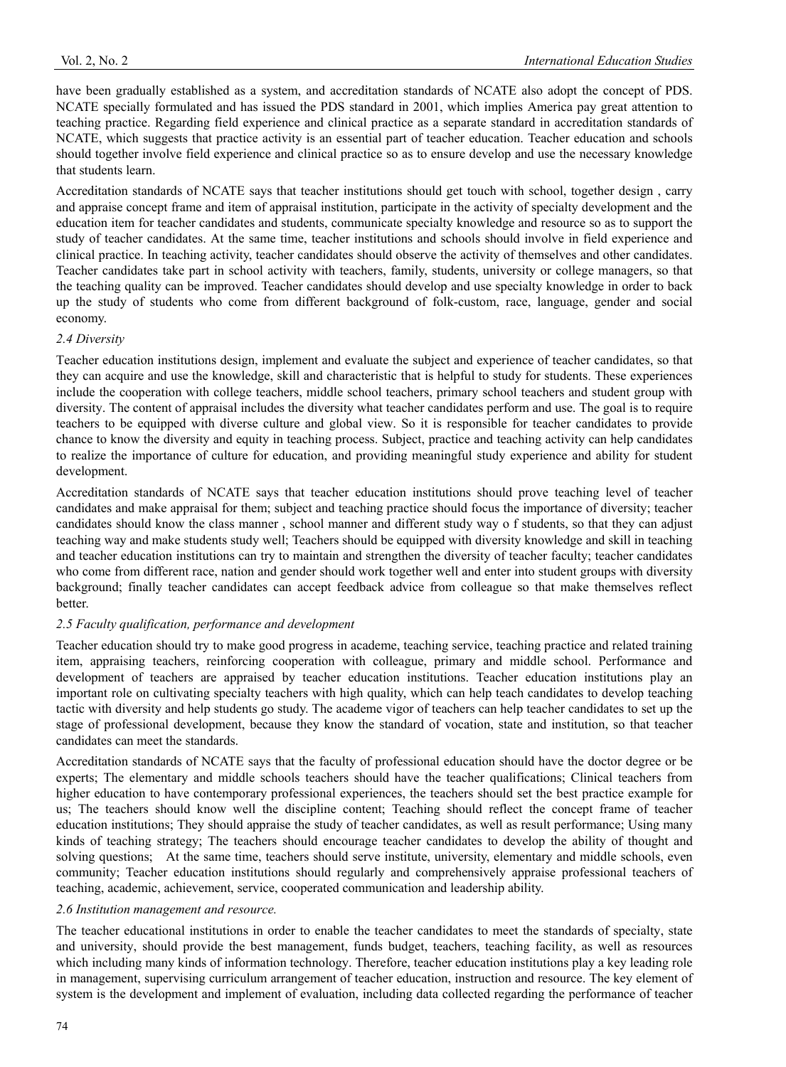have been gradually established as a system, and accreditation standards of NCATE also adopt the concept of PDS. NCATE specially formulated and has issued the PDS standard in 2001, which implies America pay great attention to teaching practice. Regarding field experience and clinical practice as a separate standard in accreditation standards of NCATE, which suggests that practice activity is an essential part of teacher education. Teacher education and schools should together involve field experience and clinical practice so as to ensure develop and use the necessary knowledge that students learn.

Accreditation standards of NCATE says that teacher institutions should get touch with school, together design , carry and appraise concept frame and item of appraisal institution, participate in the activity of specialty development and the education item for teacher candidates and students, communicate specialty knowledge and resource so as to support the study of teacher candidates. At the same time, teacher institutions and schools should involve in field experience and clinical practice. In teaching activity, teacher candidates should observe the activity of themselves and other candidates. Teacher candidates take part in school activity with teachers, family, students, university or college managers, so that the teaching quality can be improved. Teacher candidates should develop and use specialty knowledge in order to back up the study of students who come from different background of folk-custom, race, language, gender and social economy.

# *2.4 Diversity*

Teacher education institutions design, implement and evaluate the subject and experience of teacher candidates, so that they can acquire and use the knowledge, skill and characteristic that is helpful to study for students. These experiences include the cooperation with college teachers, middle school teachers, primary school teachers and student group with diversity. The content of appraisal includes the diversity what teacher candidates perform and use. The goal is to require teachers to be equipped with diverse culture and global view. So it is responsible for teacher candidates to provide chance to know the diversity and equity in teaching process. Subject, practice and teaching activity can help candidates to realize the importance of culture for education, and providing meaningful study experience and ability for student development.

Accreditation standards of NCATE says that teacher education institutions should prove teaching level of teacher candidates and make appraisal for them; subject and teaching practice should focus the importance of diversity; teacher candidates should know the class manner , school manner and different study way o f students, so that they can adjust teaching way and make students study well; Teachers should be equipped with diversity knowledge and skill in teaching and teacher education institutions can try to maintain and strengthen the diversity of teacher faculty; teacher candidates who come from different race, nation and gender should work together well and enter into student groups with diversity background; finally teacher candidates can accept feedback advice from colleague so that make themselves reflect better.

# *2.5 Faculty qualification, performance and development*

Teacher education should try to make good progress in academe, teaching service, teaching practice and related training item, appraising teachers, reinforcing cooperation with colleague, primary and middle school. Performance and development of teachers are appraised by teacher education institutions. Teacher education institutions play an important role on cultivating specialty teachers with high quality, which can help teach candidates to develop teaching tactic with diversity and help students go study. The academe vigor of teachers can help teacher candidates to set up the stage of professional development, because they know the standard of vocation, state and institution, so that teacher candidates can meet the standards.

Accreditation standards of NCATE says that the faculty of professional education should have the doctor degree or be experts; The elementary and middle schools teachers should have the teacher qualifications; Clinical teachers from higher education to have contemporary professional experiences, the teachers should set the best practice example for us; The teachers should know well the discipline content; Teaching should reflect the concept frame of teacher education institutions; They should appraise the study of teacher candidates, as well as result performance; Using many kinds of teaching strategy; The teachers should encourage teacher candidates to develop the ability of thought and solving questions; At the same time, teachers should serve institute, university, elementary and middle schools, even community; Teacher education institutions should regularly and comprehensively appraise professional teachers of teaching, academic, achievement, service, cooperated communication and leadership ability.

# *2.6 Institution management and resource.*

The teacher educational institutions in order to enable the teacher candidates to meet the standards of specialty, state and university, should provide the best management, funds budget, teachers, teaching facility, as well as resources which including many kinds of information technology. Therefore, teacher education institutions play a key leading role in management, supervising curriculum arrangement of teacher education, instruction and resource. The key element of system is the development and implement of evaluation, including data collected regarding the performance of teacher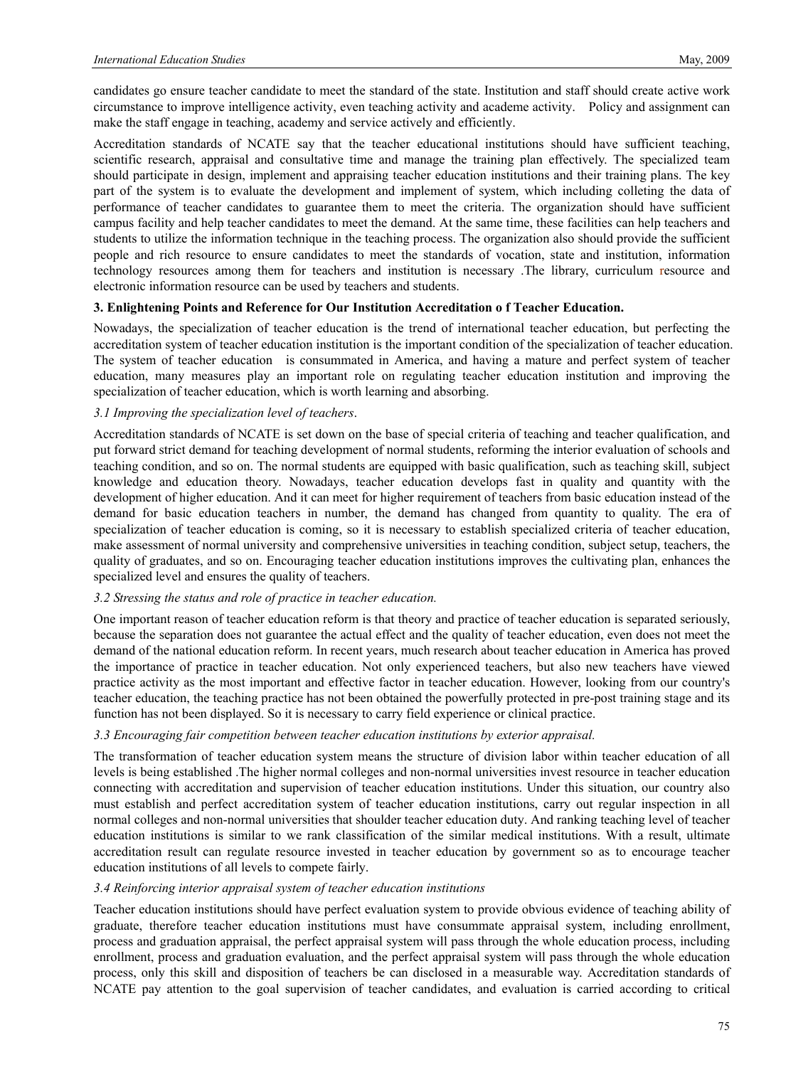candidates go ensure teacher candidate to meet the standard of the state. Institution and staff should create active work circumstance to improve intelligence activity, even teaching activity and academe activity. Policy and assignment can make the staff engage in teaching, academy and service actively and efficiently.

Accreditation standards of NCATE say that the teacher educational institutions should have sufficient teaching, scientific research, appraisal and consultative time and manage the training plan effectively. The specialized team should participate in design, implement and appraising teacher education institutions and their training plans. The key part of the system is to evaluate the development and implement of system, which including colleting the data of performance of teacher candidates to guarantee them to meet the criteria. The organization should have sufficient campus facility and help teacher candidates to meet the demand. At the same time, these facilities can help teachers and students to utilize the information technique in the teaching process. The organization also should provide the sufficient people and rich resource to ensure candidates to meet the standards of vocation, state and institution, information technology resources among them for teachers and institution is necessary .The library, curriculum resource and electronic information resource can be used by teachers and students.

# **3. Enlightening Points and Reference for Our Institution Accreditation o f Teacher Education.**

Nowadays, the specialization of teacher education is the trend of international teacher education, but perfecting the accreditation system of teacher education institution is the important condition of the specialization of teacher education. The system of teacher education is consummated in America, and having a mature and perfect system of teacher education, many measures play an important role on regulating teacher education institution and improving the specialization of teacher education, which is worth learning and absorbing.

# *3.1 Improving the specialization level of teachers*.

Accreditation standards of NCATE is set down on the base of special criteria of teaching and teacher qualification, and put forward strict demand for teaching development of normal students, reforming the interior evaluation of schools and teaching condition, and so on. The normal students are equipped with basic qualification, such as teaching skill, subject knowledge and education theory. Nowadays, teacher education develops fast in quality and quantity with the development of higher education. And it can meet for higher requirement of teachers from basic education instead of the demand for basic education teachers in number, the demand has changed from quantity to quality. The era of specialization of teacher education is coming, so it is necessary to establish specialized criteria of teacher education, make assessment of normal university and comprehensive universities in teaching condition, subject setup, teachers, the quality of graduates, and so on. Encouraging teacher education institutions improves the cultivating plan, enhances the specialized level and ensures the quality of teachers.

# *3.2 Stressing the status and role of practice in teacher education.*

One important reason of teacher education reform is that theory and practice of teacher education is separated seriously, because the separation does not guarantee the actual effect and the quality of teacher education, even does not meet the demand of the national education reform. In recent years, much research about teacher education in America has proved the importance of practice in teacher education. Not only experienced teachers, but also new teachers have viewed practice activity as the most important and effective factor in teacher education. However, looking from our country's teacher education, the teaching practice has not been obtained the powerfully protected in pre-post training stage and its function has not been displayed. So it is necessary to carry field experience or clinical practice.

# *3.3 Encouraging fair competition between teacher education institutions by exterior appraisal.*

The transformation of teacher education system means the structure of division labor within teacher education of all levels is being established .The higher normal colleges and non-normal universities invest resource in teacher education connecting with accreditation and supervision of teacher education institutions. Under this situation, our country also must establish and perfect accreditation system of teacher education institutions, carry out regular inspection in all normal colleges and non-normal universities that shoulder teacher education duty. And ranking teaching level of teacher education institutions is similar to we rank classification of the similar medical institutions. With a result, ultimate accreditation result can regulate resource invested in teacher education by government so as to encourage teacher education institutions of all levels to compete fairly.

# *3.4 Reinforcing interior appraisal system of teacher education institutions*

Teacher education institutions should have perfect evaluation system to provide obvious evidence of teaching ability of graduate, therefore teacher education institutions must have consummate appraisal system, including enrollment, process and graduation appraisal, the perfect appraisal system will pass through the whole education process, including enrollment, process and graduation evaluation, and the perfect appraisal system will pass through the whole education process, only this skill and disposition of teachers be can disclosed in a measurable way. Accreditation standards of NCATE pay attention to the goal supervision of teacher candidates, and evaluation is carried according to critical